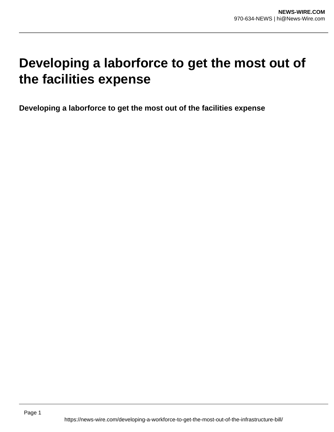# **Developing a laborforce to get the most out of the facilities expense**

**Developing a laborforce to get the most out of the facilities expense**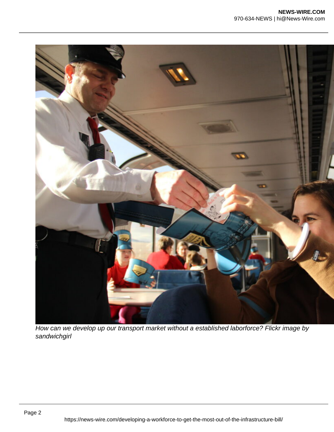

How can we develop up our transport market without a established laborforce? Flickr image by sandwichgirl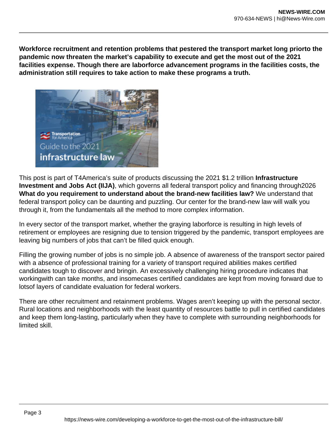**Workforce recruitment and retention problems that pestered the transport market long priorto the pandemic now threaten the market's capability to execute and get the most out of the 2021 facilities expense. Though there are laborforce advancement programs in the facilities costs, the administration still requires to take action to make these programs a truth.**



This post is part of T4America's suite of products discussing the 2021 \$1.2 trillion **Infrastructure Investment and Jobs Act (IIJA)**, which governs all federal transport policy and financing through2026 **What do you requirement to understand about the brand-new facilities law?** We understand that federal transport policy can be daunting and puzzling. Our center for the brand-new law will walk you through it, from the fundamentals all the method to more complex information.

In every sector of the transport market, whether the graying laborforce is resulting in high levels of retirement or employees are resigning due to tension triggered by the pandemic, transport employees are leaving big numbers of jobs that can't be filled quick enough.

Filling the growing number of jobs is no simple job. A absence of awareness of the transport sector paired with a absence of professional training for a variety of transport required abilities makes certified candidates tough to discover and bringin. An excessively challenging hiring procedure indicates that workingwith can take months, and insomecases certified candidates are kept from moving forward due to lotsof layers of candidate evaluation for federal workers.

There are other recruitment and retainment problems. Wages aren't keeping up with the personal sector. Rural locations and neighborhoods with the least quantity of resources battle to pull in certified candidates and keep them long-lasting, particularly when they have to complete with surrounding neighborhoods for limited skill.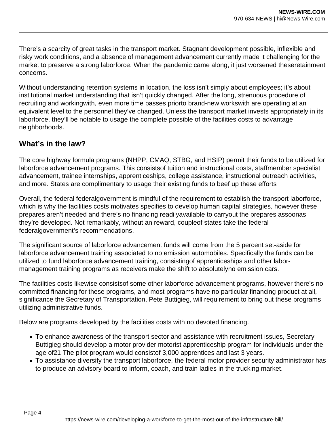There's a scarcity of great tasks in the transport market. Stagnant development possible, inflexible and risky work conditions, and a absence of management advancement currently made it challenging for the market to preserve a strong laborforce. When the pandemic came along, it just worsened theseretainment concerns.

Without understanding retention systems in location, the loss isn't simply about employees; it's about institutional market understanding that isn't quickly changed. After the long, strenuous procedure of recruiting and workingwith, even more time passes priorto brand-new workswith are operating at an equivalent level to the personnel they've changed. Unless the transport market invests appropriately in its laborforce, they'll be notable to usage the complete possible of the facilities costs to advantage neighborhoods.

## **What's in the law?**

The core highway formula programs (NHPP, CMAQ, STBG, and HSIP) permit their funds to be utilized for laborforce advancement programs. This consistsof tuition and instructional costs, staffmember specialist advancement, trainee internships, apprenticeships, college assistance, instructional outreach activities, and more. States are complimentary to usage their existing funds to beef up these efforts

Overall, the federal federalgovernment is mindful of the requirement to establish the transport laborforce, which is why the facilities costs motivates specifies to develop human capital strategies, however these prepares aren't needed and there's no financing readilyavailable to carryout the prepares assoonas they're developed. Not remarkably, without an reward, coupleof states take the federal federalgovernment's recommendations.

The significant source of laborforce advancement funds will come from the 5 percent set-aside for laborforce advancement training associated to no emission automobiles. Specifically the funds can be utilized to fund laborforce advancement training, consistingof apprenticeships and other labormanagement training programs as receivers make the shift to absolutelyno emission cars.

The facilities costs likewise consistsof some other laborforce advancement programs, however there's no committed financing for these programs, and most programs have no particular financing product at all, significance the Secretary of Transportation, Pete Buttigieg, will requirement to bring out these programs utilizing administrative funds.

Below are programs developed by the facilities costs with no devoted financing.

- To enhance awareness of the transport sector and assistance with recruitment issues, Secretary Buttigieg should develop a motor provider motorist apprenticeship program for individuals under the age of21 The pilot program would consistof 3,000 apprentices and last 3 years.
- To assistance diversify the transport laborforce, the federal motor provider security administrator has to produce an advisory board to inform, coach, and train ladies in the trucking market.